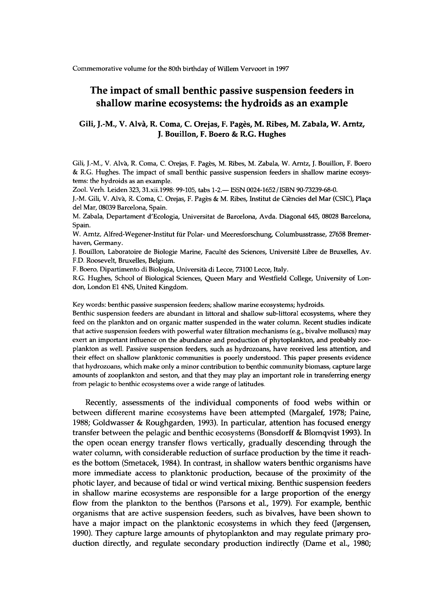**Commemorative volume for the 80th birthday of Willem Vervoort in 1997** 

## **The impact of small benthic passive suspension feeders in shallow marine ecosystems: the hydroids as an example**

## **Gili, J.-M., V . Alvà, R. Coma, C Orejas, F. Pag**è**s, M . Ribes, M . Zabala, W. Arntz, J. Bouillon, F. Boero & R.G. Hughes**

**Gili, J.-M., V. Alvà, R. Coma, C Orejas, F. Pag**è**s, M. Ribes, M. Zabala, W. Arntz, J. Bouillon, F. Boero & R. G Hughes. The impact of small benthic passive suspension feeders in shallow marine ecosystems: the hydroids as an example.** 

**Zool. Verh. Leiden 323, [31.xii.1998:9](http://31.xii.1998)9-105, tabs 1-2.— ISSN 0024-1652/ISBN 90-73239-68-0.** 

**J.-M. Gili, V. Alvà, R. Coma, C. Orejas, F. Pages & M. Ribes, Institut de Ciències del Mar (CSIC), Plaça del Mar, 08039 Barcelona, Spain.** 

**M. Zabala, Departament d'Ecologia, Universität de Barcelona, Avda. Diagonal 645, 08028 Barcelona, Spain.** 

**W. Arntz, Alfred-Wegener-Institut für Polar- und Meeresforschung, Columbusstrasse, 27658 Bremerhaven, Germany.** 

**J. Bouillon, Laboratoire de Biologie Marine, Faculté des Sciences, Université Libre de Bruxelles, Av. F.D. Roosevelt, Bruxelles, Belgium.** 

**F. Boero, Dipartimento di Biologia, Università di Lecce, 73100 Lecce, Italy.** 

**R.G. Hughes, School of Biological Sciences, Queen Mary and Westfield College, University of Lon**don, London E1 4NS, United Kingdom.

**Key words: benthic passive suspension feeders; shallow marine ecosystems; hydroids.** 

**Benthic suspension feeders are abundant in littoral and shallow sub-littoral ecosystems, where they feed on the plankton and on organic matter suspended in the water column. Recent studies indicate that active suspension feeders with powerful water filtration mechanisms (e.g., bivalve molluscs) may exert an important influence on the abundance and production of phytoplankton, and probably zooplankton as well. Passive suspension feeders, such as hydrozoans, have received less attention, and their effect on shallow planktonic communities is poorly understood. This paper presents evidence that hydrozoans, which make only a minor contribution to benthic community biomass, capture large amounts of zooplankton and seston, and that they may play an important role in transferring energy from pelagic to benthic ecosystems over a wide range of latitudes.** 

Recently, assessments of the individual components of food webs within or between different marine ecosystems have been attempted (Margalef, 1978; Paine, 1988; Goldwasser & Roughgarden, 1993). In particular, attention has focused energy transfer between the pelagic and benthic ecosystems (Bonsdorff & Blomqvist 1993). In the open ocean energy transfer flows vertically, gradually descending through the water column, with considerable reduction of surface production by the time it reaches the bottom (Smetacek, 1984). In contrast, in shallow waters benthic organisms have more immediate access to planktonic production, because of the proximity of the photic layer, and because of tidal or wind vertical mixing. Benthic suspension feeders in shallow marine ecosystems are responsible for a large proportion of the energy flow from the plankton to the benthos (Parsons et al., 1979). For example, benthic organisms that are active suspension feeders, such as bivalves, have been shown to have a major impact on the planktonic ecosystems in which they feed (Jørgensen, 1990). They capture large amounts of phytoplankton and may regulate primary production directly, and regulate secondary production indirectly (Dame et al., 1980;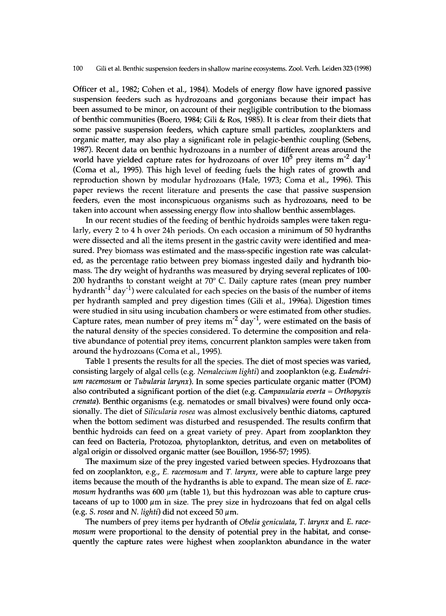Officer et al., 1982; Cohen et al., 1984). Models of energy flow have ignored passive suspension feeders such as hydrozoans and gorgonians because their impact has been assumed to be minor, on account of their negligible contribution to the biomass of benthic communities (Boero, 1984; Gil i & Ros, 1985). It is clear from their diets that some passive suspension feeders, which capture small particles, zooplankters and organic matter, may also play a significant role in pelagic-benthic coupling (Sebens, 1987). Recent data on benthic hydrozoans in a number of different areas around the world have yielded capture rates for hydrozoans of over  $10^5$  prey items  $m<sup>-2</sup>$  day<sup>-1</sup> (Coma et al., 1995). This high level of feeding fuels the high rates of growth and reproduction shown by modular hydrozoans (Hale, 1973; Coma et al., 1996). This paper reviews the recent literature and presents the case that passive suspension feeders, even the most inconspicuous organisms such as hydrozoans, need to be taken into account when assessing energy flow into shallow benthic assemblages.

In our recent studies of the feeding of benthic hydroids samples were taken regularly, every 2 to 4 h over 24h periods. On each occasion a minimum of 50 hydranths were dissected and all the items present in the gastric cavity were identified and measured. Prey biomass was estimated and the mass-specific ingestion rate was calculated, as the percentage ratio between prey biomass ingested daily and hydranth biomass. The dry weight of hydranths was measured by drying several replicates of 100-200 hydranths to constant weight at  $70^{\circ}$  C. Daily capture rates (mean prey number hydranth<sup>-1</sup> day<sup>-1</sup>) were calculated for each species on the basis of the number of items per hydranth sampled and prey digestion times (Gili et al., 1996a). Digestion times were studied in situ using incubation chambers or were estimated from other studies. Capture rates, mean number of prey items  $m^{-2}$  day<sup>-1</sup>, were estimated on the basis of the natural density of the species considered. To determine the composition and relative abundance of potential prey items, concurrent plankton samples were taken from around the hydrozoans (Coma et al., 1995).

Table 1 presents the results for all the species. The diet of most species was varied, consisting largely of algal cells (e.g. *Nemalecium lighti)* and zooplankton (e.g. *Eudendrium racemosum* or *Tubularia larynx).* In some species particulate organic matter (POM) also contributed a significant portion of the diet (e.g. *Campanularia everta = Orthopyxis crenata).* Benthic organisms (e.g. nematodes or small bivalves) were found only occasionally. The diet of *Silicularia rosea* was almost exclusively benthic diatoms, captured when the bottom sediment was disturbed and resuspended. The results confirm that benthic hydroids can feed on a great variety of prey. Apart from zooplankton they can feed on Bacteria, Protozoa, phytoplankton, detritus, and even on metabolites of algal origin or dissolved organic matter (see Bouillon, 1956-57; 1995).

The maximum size of the prey ingested varied between species. Hydrozoans that fed on zooplankton, e.g., *E. racemosum* and *T. larynx,* were able to capture large prey items because the mouth of the hydranths is able to expand. The mean size of *E. racemosum* hydranths was 600 μιη (table 1), but this hydrozoan was able to capture crustaceans of up to 1000  $\mu$ m in size. The prey size in hydrozoans that fed on algal cells (e.g. *S. rosea* and *N. lighti*) did not exceed 50  $\mu$ m.

The numbers of prey items per hydranth of *Obelia geniculata, T. larynx* and *E. racemosum* were proportional to the density of potential prey in the habitat, and consequently the capture rates were highest when zooplankton abundance in the water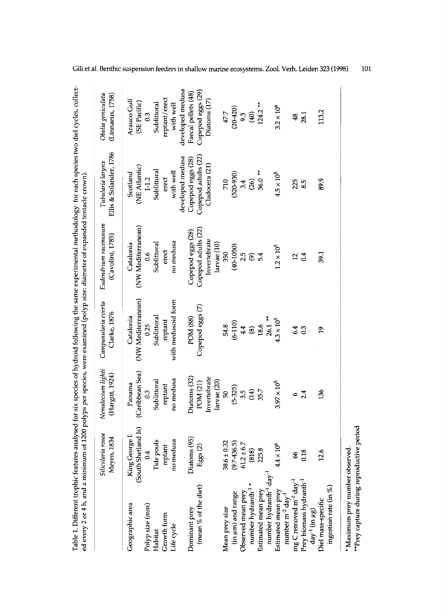|                                                                       |                                       |                                      |                                     | Table 1. Different trophic features analysed for six species of hydroid following the same experimental methodology: for each species two diel cycles, collect-<br>ed every 2 or 4 h, and a minimum of 1200 polyps per species, were examined (polyp size: diameter of expanded tentacle crown). |                                            |                                       |
|-----------------------------------------------------------------------|---------------------------------------|--------------------------------------|-------------------------------------|--------------------------------------------------------------------------------------------------------------------------------------------------------------------------------------------------------------------------------------------------------------------------------------------------|--------------------------------------------|---------------------------------------|
|                                                                       | Silicularia rosea<br>Meyen, 1834      | Nemalecium lighti<br>(Hargitt, 1924) | Campanularia everta<br>Clarke, 1876 | Eudendrum racemosum<br>(Cavolini, 1785)                                                                                                                                                                                                                                                          | Ellis & Solander, 1786<br>Tubularia larynx | Obelia geniculata<br>(Linnaeus, 1758) |
| Geographic area                                                       | (South Shetland Is)<br>King George I. | (Caribbean Sea)<br>Panama            | (NW Mediterranean)<br>Catalonia     | (NW Mediterranean)<br>Catalonia                                                                                                                                                                                                                                                                  | (NE Atlantic)<br>Scotland                  | Arauco Gulf<br>(SE Pacific)           |
| Polyp size (mm)                                                       | 0.4                                   | 0.3                                  | 0.25                                | 0.6                                                                                                                                                                                                                                                                                              | $1-1.2$                                    | 0.3                                   |
| Habitat                                                               | Tide pools                            | Sublittoral                          | Sublittoral                         | Sublittoral                                                                                                                                                                                                                                                                                      | Sublittoral                                | Sublittoral                           |
| Growth form                                                           | reptant                               | reptant                              | reptant                             | erect                                                                                                                                                                                                                                                                                            | erect                                      | reptant/erect                         |
| Life cycle                                                            | no medusa                             | no medusa                            | with medusoid form                  | no medusa                                                                                                                                                                                                                                                                                        | with well                                  | with well                             |
|                                                                       |                                       |                                      |                                     |                                                                                                                                                                                                                                                                                                  | developed medusa                           | developed medusa                      |
| Dominant prey                                                         | Diatoms (95)                          | Diatoms (32)                         | POM (88)                            | Copepod eggs (28)                                                                                                                                                                                                                                                                                | Copepod eggs (28)                          | Faecal pellets (48)                   |
| (mean % of the diet)                                                  | Eggs $(2)$                            | POM (21)                             | Copepod eggs (7)                    | Copepod adults (22)                                                                                                                                                                                                                                                                              | Copepod adults (22)                        | Copepod eggs (29)                     |
|                                                                       |                                       | Invertebrate                         |                                     | Invertebrate                                                                                                                                                                                                                                                                                     | Cladocera (21)                             | Diatoms (17)                          |
|                                                                       |                                       | larvae (20)                          |                                     | larvae (10)                                                                                                                                                                                                                                                                                      |                                            |                                       |
| Mean prey size                                                        | $38.6 \pm 0.32$                       | 50                                   | 54.8                                | 350                                                                                                                                                                                                                                                                                              | 710                                        | 47.7                                  |
| (in $\mu$ m) and range                                                | $(9.7-436.5)$                         | $(5-325)$                            | $(6-110)$                           | $(40 - 1050)$                                                                                                                                                                                                                                                                                    | $(520 - 930)$                              | $(20 - 420)$                          |
| Observed mean prey                                                    | $61.2 \pm 6.7$                        | 3.5                                  | 4.4                                 | 2.5                                                                                                                                                                                                                                                                                              | 3.4                                        |                                       |
| number hydranth <sup>-1</sup>                                         | (818)                                 | (14)                                 | $\circledast$                       | $\circledcirc$                                                                                                                                                                                                                                                                                   | (26)                                       | $9.3$<br>(40)                         |
| Estimated mean prey                                                   | 225.8                                 | 35.7                                 | 18.6                                | 5.4                                                                                                                                                                                                                                                                                              | $36.0**$                                   | $124.2**$                             |
| number hydranth <sup>-1</sup> day <sup>-1</sup>                       |                                       |                                      | $26.1**$                            |                                                                                                                                                                                                                                                                                                  |                                            |                                       |
| Estimated mean prey<br>number m <sup>-2</sup> day <sup>-1</sup>       | $4.4 \times 10^{6}$                   | $3.97 \times 10^5$                   | $4.3 \times 10^{5}$                 | $1.2\times10^5$                                                                                                                                                                                                                                                                                  | $4.5\times10^5$                            | $3.2 \times 10^6$                     |
| mg C removed m <sup>-2</sup> day <sup>-1</sup>                        | 8                                     | ه                                    | $\overline{64}$                     | 51                                                                                                                                                                                                                                                                                               | 225                                        | $\frac{48}{5}$                        |
|                                                                       |                                       |                                      |                                     |                                                                                                                                                                                                                                                                                                  |                                            |                                       |
| Prey biomass hydranth <sup>-1</sup><br>day <sup>-1</sup> (in $\mu$ g) | 0.18                                  | 2.4                                  | 0.3                                 | 0.4                                                                                                                                                                                                                                                                                              | 8.5                                        | 28.1                                  |
| Diel mass-specific                                                    | 12.6                                  | 136                                  | $\overline{1}$                      | 39.1                                                                                                                                                                                                                                                                                             | 89.9                                       | 113.2                                 |
| ingestion rate (in $%$                                                |                                       |                                      |                                     |                                                                                                                                                                                                                                                                                                  |                                            |                                       |
| * Maximum prey number observed.                                       |                                       |                                      |                                     |                                                                                                                                                                                                                                                                                                  |                                            |                                       |

**1**01

**\*\*Prey capture during reproductive period**

\*\*Prey capture during reproductive period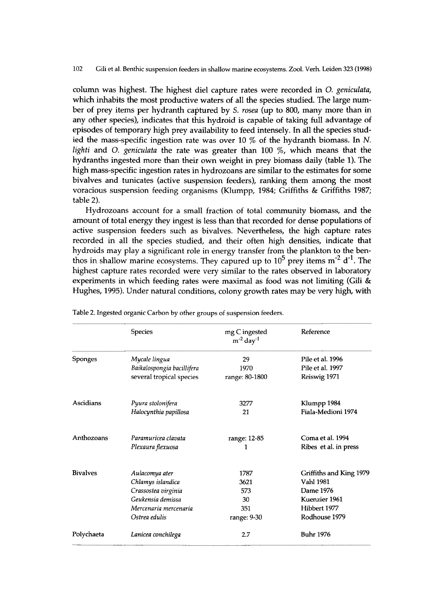column was highest. The highest diel capture rates were recorded in *O. geniculata*, which inhabits the most productive waters of all the species studied. The large number of prey items per hydranth captured by *S*. *rosea* (up to 800, many more than i n any other species), indicates that this hydroid is capable of taking full advantage of episodes of temporary high prey availability to feed intensely. In all the species studi ed the mass-specific ingestion rate was over 10 % of the hydranth biomass. In *N*. *lighti* and *O. geniculata* the rate was greater than 100 %, which means that the hydranths ingested more than their own weight in prey biomass daily (table 1). The high mass-specific ingestion rates in hydrozoans are similar to the estimates for some bivalves and tunicates (active suspension feeders), ranking them among the most voracious suspension feeding organisms (Klumpp, 1984; Griffiths & Griffiths 1987; table 2).

Hydrozoans account for a small fraction of total community biomass, and the amount of total energy they ingest is less than that recorded for dense populations of active suspension feeders such as bivalves. Nevertheless, the high capture rates recorded in all the species studied, and their often high densities, indicate that hydroids may play a significant role in energy transfer from the plankton to the benthos in shallow marine ecosystems. They capured up to  $10^5$  prey items m<sup>-2</sup> d<sup>-1</sup>. The highest capture rates recorded were very similar to the rates observed in laboratory experiments in which feeding rates were maximal as food was not limiting (Gili  $\&$ Hughes, 1995). Under natural conditions, colony growth rates may be very high, with

|                 | <b>Species</b>             | mg C ingested<br>$m^{-2}$ day <sup>-1</sup> | Reference               |
|-----------------|----------------------------|---------------------------------------------|-------------------------|
| <b>Sponges</b>  | Mycale lingua              | 29                                          | Pile et al. 1996        |
|                 | Baikalospongia bacillifera | 1970                                        | Pile et al. 1997        |
|                 | several tropical species   | range: 80-1800                              | Reiswig 1971            |
| Ascidians       | Pyura stolonifera          | 3277                                        | Klumpp 1984             |
|                 | Halocynthia papillosa      | 21                                          | Fiala-Medioni 1974      |
| Anthozoans      | Paramuricea clavata        | range: 12-85                                | Coma et al. 1994        |
|                 | Plexaura flexuosa          | 1                                           | Ribes et al. in press   |
| <b>Bivalves</b> | Aulacomya ater             | 1787                                        | Griffiths and King 1979 |
|                 | Chlamys islandica          | 3621                                        | <b>Vahl 1981</b>        |
|                 | Crassostea virginia        | 573                                         | Dame 1976               |
|                 | Geukensia demissa          | 30                                          | Kuenzier 1961           |
|                 | Mercenaria mercenaria      | 351                                         | Hibbert 1977            |
|                 | Ostrea edulis              | range: 9-30                                 | Rodhouse 1979           |
| Polychaeta      | Lanicea conchilega         | 2.7                                         | <b>Buhr 1976</b>        |

**Table 2. Ingested organic Carbon by other groups of suspension feeders.**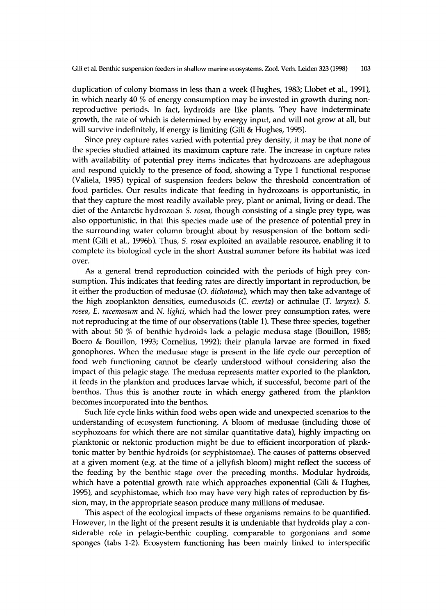duplication of colony biomass in less than a week (Hughes, 1983; Llobet et al., 1991), in which nearly 40  $\%$  of energy consumption may be invested in growth during nonreproductive periods. In fact, hydroids are like plants. They have indeterminate growth, the rate of which is determined by energy input, and will not grow at all, but will survive indefinitely, if energy is limiting (Gili & Hughes, 1995).

Since prey capture rates varied with potential prey density, it may be that none of the species studied attained its maximum capture rate. The increase in capture rates with availability of potential prey items indicates that hydrozoans are adephagous a nd respond quickly to the presence of food, showing a Type 1 functional response (Valiela, 1995) typical of suspension feeders below the threshold concentration of food particles. Our results indicate that feeding in hydrozoans is opportunistic, in that they capture the most readily available prey, plant or animal, living or dead. The diet of the Antarctic hydrozoan *S. rosea*, though consisting of a single prey type, was also opportunistic, in that this species made use of the presence of potential prey in the surrounding water column brought about by resuspension of the bottom sediment (Gili et al., 1996b). Thus, *S. rosea* exploited an available resource, enabling it to complete its biological cycle in the short Austral summer before its habitat was iced over.

As a general trend reproduction coincided with the periods of high prey consumption. This indicates that feeding rates are directly important in reproduction, be it either the production of medusae (*O. dichotoma*), which may then take advantage of the high zooplankton densities, eumedusoids (*C. everta*) or actinulae (*T. larynx*). S. *rosea, E. racemosum* and *N. lighti,* which had the lower prey consumption rates, were not reproducing at the time of our observations (table 1). These three species, together with about 50 % of benthic hydroids lack a pelagic medusa stage (Bouillon, 1985; Boero & Bouillon, 1993; Cornelius, 1992); their planula larvae are formed in fixed gonophores. When the medusae stage is present in the life cycle our perception of food web functioning cannot be clearly understood without considering also the impact of this pelagic stage. The medusa represents matter exported to the plankton, it feeds in the plankton and produces larvae which, if successful, become part of the benthos. Thus this is another route in which energy gathered from the plankton becomes incorporated into the benthos.

Such life cycle links within food webs open wide and unexpected scenarios to the understanding of ecosystem functioning. A bloom of medusae (including those of scyphozoans for which there are not similar quantitative data), highly impacting on planktonic or nektonic production might be due to efficient incorporation of planktonic matter by benthic hydroids (or scyphistomae). The causes of patterns observed at a given moment (e.g. at the time of a jellyfish bloom) might reflect the success of the feeding by the benthic stage over the preceding months. Modular hydroids, which have a potential growth rate which approaches exponential (Gili & Hughes, 1995), and scyphistomae, which too may have very high rates of reproduction by fission, may, in the appropriate season produce many millions of medusae.

This aspect of the ecological impacts of these organisms remains to be quantified. However, in the light of the present results it is undeniable that hydroids play a considerable role in pelagic-benthic coupling, comparable to gorgonians and some sponges (tabs 1-2). Ecosystem functioning has been mainly linked to interspecific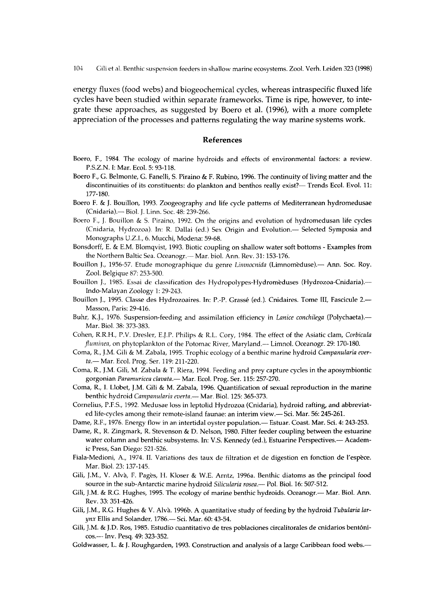energy fluxes (food webs) and biogeochemical cycles, whereas intraspecific fluxed life cycles have been studied within separate frameworks. Time is ripe, however, to integrate these approaches, as suggested by Boero et al. (1996), with a more complete appreciation of the processes and patterns regulating the way marine systems work.

## References

- **Boero, F., 1984. The ecology of marine hydroids and effects of environmental factors: a review. P.S.Z.N. I: Mar. Ecol. 5: 93-118.**
- Boero F., G. Belmonte, G. Fanelli, S. Piraino & F. Rubino, 1996. The continuity of living matter and the **discontinuities ofits constituents: doplankton and benthos really exist?—Trends Ecol. Εvol. 11: 177-180.**
- **Boero F. & J. Bouillon, 1993. Zoogeography and life cycle patterns of Mediterranean hydromedusae (Cnidaria).— Biol. J. Linn. Soc. 48: 239-266.**
- **Boero F., J. Bouillon & S. Piraino, 1992. On the origins and evolution of hydromedusan life cycles (Cnidaria, Hydrozoa). In: R. Dallai (ed.) Sex Origin and Evolution.— Selected Symposia and Monographs U.Z.I., 6. Mucchi, Modena: 59-68.**
- **Bonsdorff, Ε. & E.M. Blomqvist, 1993. Biotic coupling on shallow water soft bottoms - Examples from the Northern Baltic Sea. Oceanogr.— Mar. biol. Ann. Rev. 31:153-176.**
- **Bouillon J., 1956-57. Etude monographique du genre** *Limnocnida* **(Limnomeduse).— Ann. Soc. Roy. Zool. Belgique 87: 253-500.**
- **Bouillon J., 1985. Essai de classification des Hydropolypes-Hydromèduses (Hydrozoa-Cnidaria).— Indo-Malayan Zoology 1: 29-243.**
- **Bouillon J., 1995. Classe des Hydrozoaires. In: P.-P. Grasse (ed.). Cnidaires. Tome III, Fascicule 2.— Masson, Paris: 29-416.**
- **Buhr, K.J., 1976. Suspension-feeding and assimilation efficiency in** *Lanice conchilega* **(Polychaeta).— Mar. Biol. 38: 373-383.**
- **Cohen, R.R.H., P.V. Dresler, E.J.P. Philips & R.L. Cory, 1984. The effect ofthe Asiatic clam,** *Corbicula fluminea,* **on phytoplankton of the Potomac River, Maryland.— Limnol. Oceanogr. 29:170-180.**
- **Coma, R., J.M. Gili & M. Zabala, 1995. Trophic ecology of a benthic marine hydroid** *Campanularia everta.—* **Mar. Ecol. Prog. Ser. 119: 211-220.**
- Coma, R., J.M. Gili, M. Zabala & T. Riera, 1994. Feeding and prey capture cycles in the aposymbiontic **gorgonian** *Paramuricea clavata.***— Mar. Ecol. Prog. Ser. 115: 257-270.**
- **Coma, R.,I. Llobet, J.M. Gili &M. Zabala, 1996. Quantification of sexual reproduction in the marine benthic hydroid** *Campanularia everta.***— Mar. Biol. 125: 365-373.**
- **Cornelius, P.F.S., 1992. Medusae loss in leptolid Hydrozoa (Cnidaria), hydroid rafting, and abbreviated life-cycles among their remote-island faunae: an interim view.— Sei. Mar. 56: 245-261.**
- **Dame, R.F., 1976. Energy flow in an intertidal oyster population.— Estuar. Coast. Mar. Sei. 4: 243-253.**
- **Dame, R., R. Zingmark, R. Stevenson & D. Nelson, 1980. Filter feeder coupling between the estuarine water column and benthic subsystems. In: V.S. Kennedy (ed.), Estuarine Perspectives.— Academic Press, San Diego: 521-526.**
- **Fiala-Medioni, Α., 1974. II. Variations des taux de filtration et de digestion en fonction de l'espèce. Mar. Biol. 23:137-145.**
- Gili, J.M., V. Alvà, F. Pagès, H. Kloser & W.E. Arntz, 1996a. Benthic diatoms as the principal food **source in the sub-Antarctic marine hydroid** *Silicularia rosea.***— Pol. Biol. 16: 507-512.**
- **Gili, J.M. & R.G. Hughes, 1995. The ecology of marine benthic hydroids. Oceanogr.— Mar. Biol. Ann. Rev. 33: 351-426.**
- Gili, J.M., R.G. Hughes & V. Alvà. 1996b. A quantitative study of feeding by the hydroid Tubularia lar*ynx* **Ellis and Solander, 1786.— Sei. Mar. 60: 43-54.**
- **Gili, J.M. & J.D. Ros, 1985. Estúdio cuantitativo de tres poblaciones circalitorales de cnidarios bentónicos.— Inv. Pesq. 49: 323-352.**
- **Goldwasser, L. & J. Roughgarden, 1993. Construction and analysis of a large Caribbean food webs.—**